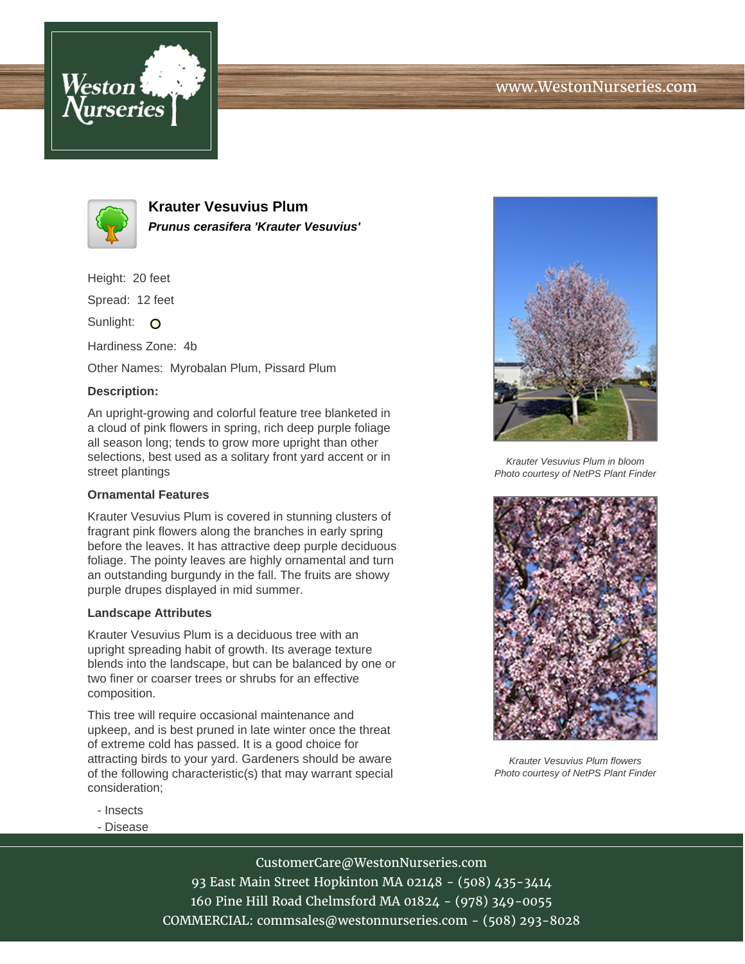



**Krauter Vesuvius Plum Prunus cerasifera 'Krauter Vesuvius'**

Height: 20 feet

Spread: 12 feet

Sunlight: O

Hardiness Zone: 4b

Other Names: Myrobalan Plum, Pissard Plum

## **Description:**

An upright-growing and colorful feature tree blanketed in a cloud of pink flowers in spring, rich deep purple foliage all season long; tends to grow more upright than other selections, best used as a solitary front yard accent or in street plantings

## **Ornamental Features**

Krauter Vesuvius Plum is covered in stunning clusters of fragrant pink flowers along the branches in early spring before the leaves. It has attractive deep purple deciduous foliage. The pointy leaves are highly ornamental and turn an outstanding burgundy in the fall. The fruits are showy purple drupes displayed in mid summer.

## **Landscape Attributes**

Krauter Vesuvius Plum is a deciduous tree with an upright spreading habit of growth. Its average texture blends into the landscape, but can be balanced by one or two finer or coarser trees or shrubs for an effective composition.

This tree will require occasional maintenance and upkeep, and is best pruned in late winter once the threat of extreme cold has passed. It is a good choice for attracting birds to your yard. Gardeners should be aware of the following characteristic(s) that may warrant special consideration;

- Insects
- Disease



Krauter Vesuvius Plum in bloom Photo courtesy of NetPS Plant Finder



Krauter Vesuvius Plum flowers Photo courtesy of NetPS Plant Finder

CustomerCare@WestonNurseries.com

93 East Main Street Hopkinton MA 02148 - (508) 435-3414 160 Pine Hill Road Chelmsford MA 01824 - (978) 349-0055 COMMERCIAL: commsales@westonnurseries.com - (508) 293-8028